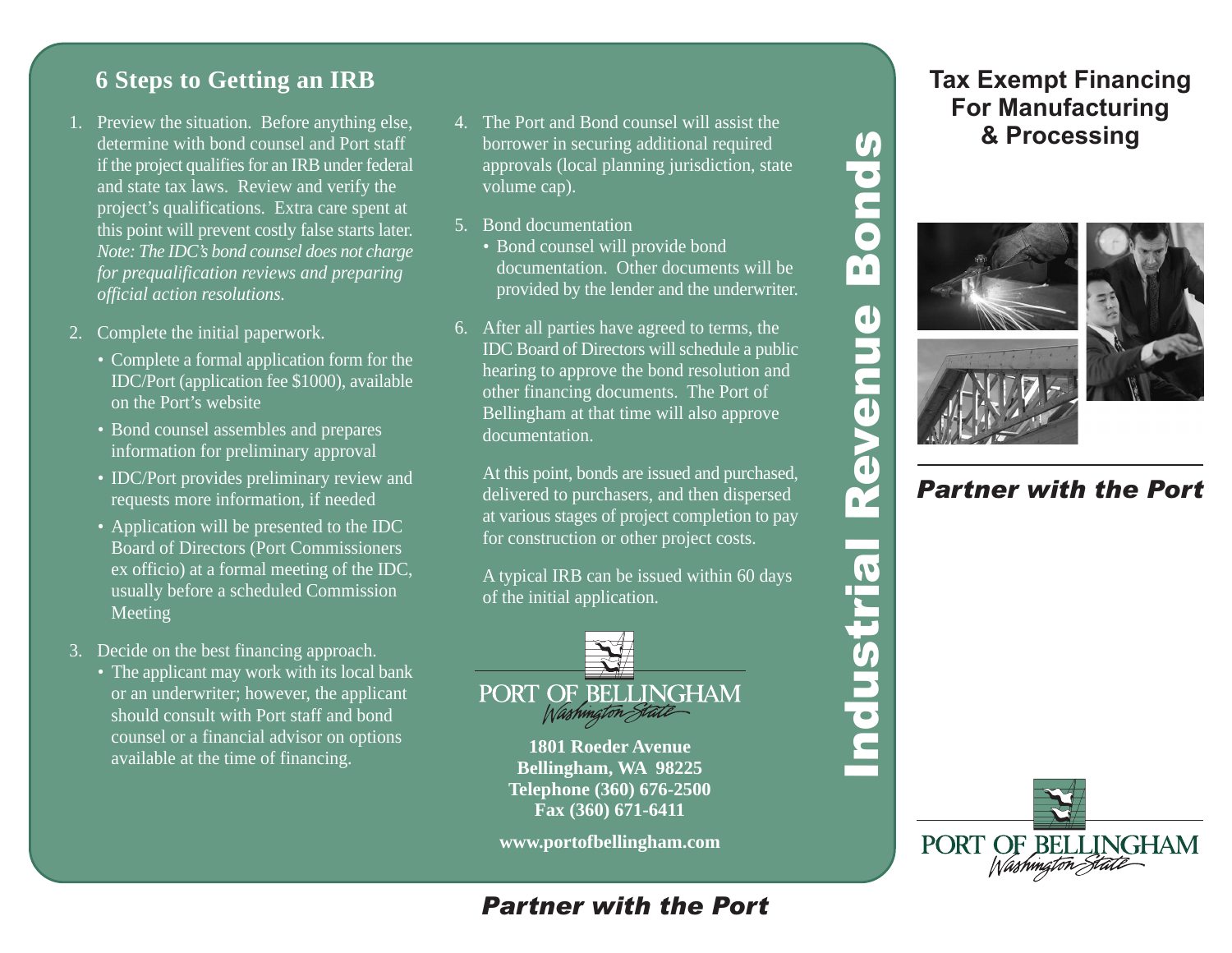## **6 Steps to Getting an IRB**

- 1. Preview the situation. Before anything else, determine with bond counsel and Port staff if the project qualifies for an IRB under federal and state tax laws. Review and verify the project's qualifications. Extra care spent at this point will prevent costly false starts later. *Note: The IDC's bond counsel does not charge for prequalification reviews and preparing official action resolutions.*
- 2. Complete the initial paperwork.
	- Complete a formal application form for the IDC/Port (application fee \$1000), available on the Port's website
	- Bond counsel assembles and prepares information for preliminary approval
	- IDC/Port provides preliminary review and requests more information, if needed
	- Application will be presented to the IDC Board of Directors (Port Commissioners ex officio) at a formal meeting of the IDC, usually before a scheduled Commission Meeting
- 3. Decide on the best financing approach.
	- The applicant may work with its local bank or an underwriter; however, the applicant should consult with Port staff and bond counsel or a financial advisor on options available at the time of financing.
- 4. The Port and Bond counsel will assist the borrower in securing additional required approvals (local planning jurisdiction, state volume cap).
- 5. Bond documentation
	- Bond counsel will provide bond documentation. Other documents will be provided by the lender and the underwriter.
- 6. After all parties have agreed to terms, the IDC Board of Directors will schedule a public hearing to approve the bond resolution and other financing documents. The Port of Bellingham at that time will also approve documentation.

At this point, bonds are issued and purchased, delivered to purchasers, and then dispersed at various stages of project completion to pay for construction or other project costs.

A typical IRB can be issued within 60 days of the initial application.



**1801 Roeder Avenue Bellingham, WA 98225 Telephone (360) 676-2500 Fax (360) 671-6411**

**www.portofbellingham.com**

## *Partner with the Port*

## **Tax Exempt Financing For Manufacturing & Processing**



 $\bullet$ 

N

**POL** 

# *Partner with the Port*